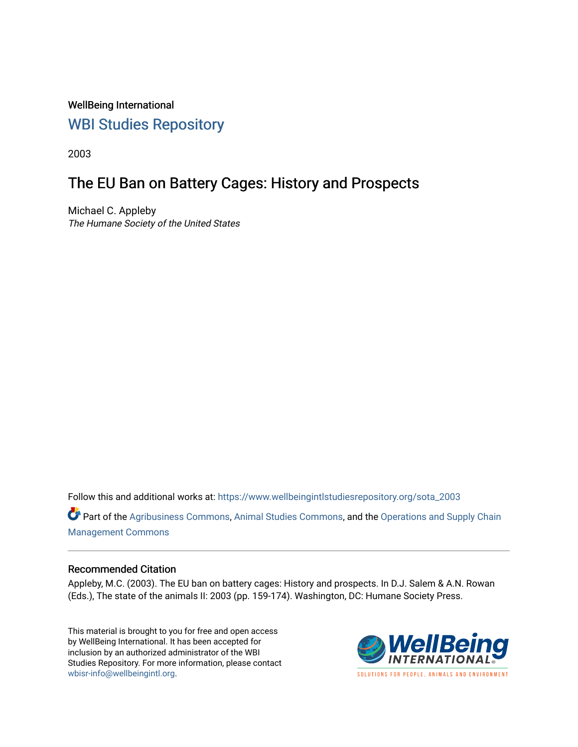WellBeing International [WBI Studies Repository](https://www.wellbeingintlstudiesrepository.org/)

2003

### The EU Ban on Battery Cages: History and Prospects

Michael C. Appleby The Humane Society of the United States

Follow this and additional works at: [https://www.wellbeingintlstudiesrepository.org/sota\\_2003](https://www.wellbeingintlstudiesrepository.org/sota_2003?utm_source=www.wellbeingintlstudiesrepository.org%2Fsota_2003%2F13&utm_medium=PDF&utm_campaign=PDFCoverPages) 

Part of the [Agribusiness Commons,](http://network.bepress.com/hgg/discipline/1051?utm_source=www.wellbeingintlstudiesrepository.org%2Fsota_2003%2F13&utm_medium=PDF&utm_campaign=PDFCoverPages) [Animal Studies Commons](http://network.bepress.com/hgg/discipline/1306?utm_source=www.wellbeingintlstudiesrepository.org%2Fsota_2003%2F13&utm_medium=PDF&utm_campaign=PDFCoverPages), and the [Operations and Supply Chain](http://network.bepress.com/hgg/discipline/1229?utm_source=www.wellbeingintlstudiesrepository.org%2Fsota_2003%2F13&utm_medium=PDF&utm_campaign=PDFCoverPages) [Management Commons](http://network.bepress.com/hgg/discipline/1229?utm_source=www.wellbeingintlstudiesrepository.org%2Fsota_2003%2F13&utm_medium=PDF&utm_campaign=PDFCoverPages)

#### Recommended Citation

Appleby, M.C. (2003). The EU ban on battery cages: History and prospects. In D.J. Salem & A.N. Rowan (Eds.), The state of the animals II: 2003 (pp. 159-174). Washington, DC: Humane Society Press.

This material is brought to you for free and open access by WellBeing International. It has been accepted for inclusion by an authorized administrator of the WBI Studies Repository. For more information, please contact [wbisr-info@wellbeingintl.org](mailto:wbisr-info@wellbeingintl.org).

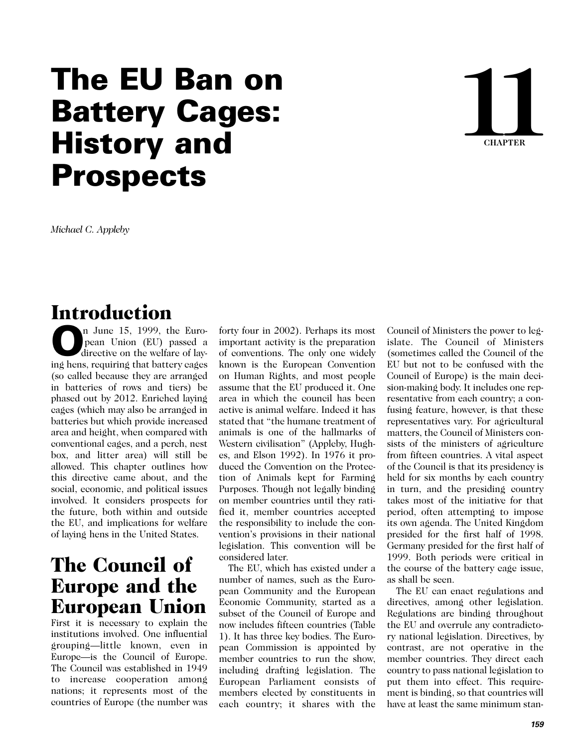# **The EU Ban on Battery Cages: History and Prospects**



*Michael C. Appleby* 

# Introduction

n June 15, 1999, the European Union (EU) passed a directive on the welfare of lay**n** June 15, 1999, the European Union (EU) passed a directive on the welfare of laying hens, requiring that battery cages (so called because they are arranged in batteries of rows and tiers) be phased out by 2012. Enriched laying cages (which may also be arranged in batteries but which provide increased area and height, when compared with conventional cages, and a perch, nest box, and litter area) will still be allowed. This chapter outlines how this directive came about, and the social, economic, and political issues involved. It considers prospects for the future, both within and outside the EU, and implications for welfare of laying hens in the United States.

### The Council of Europe and the European Union

First it is necessary to explain the institutions involved. One influential grouping—little known, even in Europe—is the Council of Europe. The Council was established in 1949 to increase cooperation among nations; it represents most of the countries of Europe (the number was forty four in 2002). Perhaps its most important activity is the preparation of conventions. The only one widely known is the European Convention on Human Rights, and most people assume that the EU produced it. One area in which the council has been active is animal welfare. Indeed it has stated that "the humane treatment of animals is one of the hallmarks of Western civilisation" (Appleby, Hughes, and Elson 1992). In 1976 it produced the Convention on the Protection of Animals kept for Farming Purposes. Though not legally binding on member countries until they ratified it, member countries accepted the responsibility to include the convention's provisions in their national legislation. This convention will be considered later.

The EU, which has existed under a number of names, such as the European Community and the European Economic Community, started as a subset of the Council of Europe and now includes fifteen countries (Table 1). It has three key bodies. The European Commission is appointed by member countries to run the show, including drafting legislation. The European Parliament consists of members elected by constituents in each country; it shares with the

Council of Ministers the power to legislate. The Council of Ministers (sometimes called the Council of the EU but not to be confused with the Council of Europe) is the main decision-making body. It includes one representative from each country; a confusing feature, however, is that these representatives vary. For agricultural matters, the Council of Ministers consists of the ministers of agriculture from fifteen countries. A vital aspect of the Council is that its presidency is held for six months by each country in turn, and the presiding country takes most of the initiative for that period, often attempting to impose its own agenda. The United Kingdom presided for the first half of 1998. Germany presided for the first half of 1999. Both periods were critical in the course of the battery cage issue, as shall be seen.

The EU can enact regulations and directives, among other legislation. Regulations are binding throughout the EU and overrule any contradictory national legislation. Directives, by contrast, are not operative in the member countries. They direct each country to pass national legislation to put them into effect. This requirement is binding, so that countries will have at least the same minimum stan-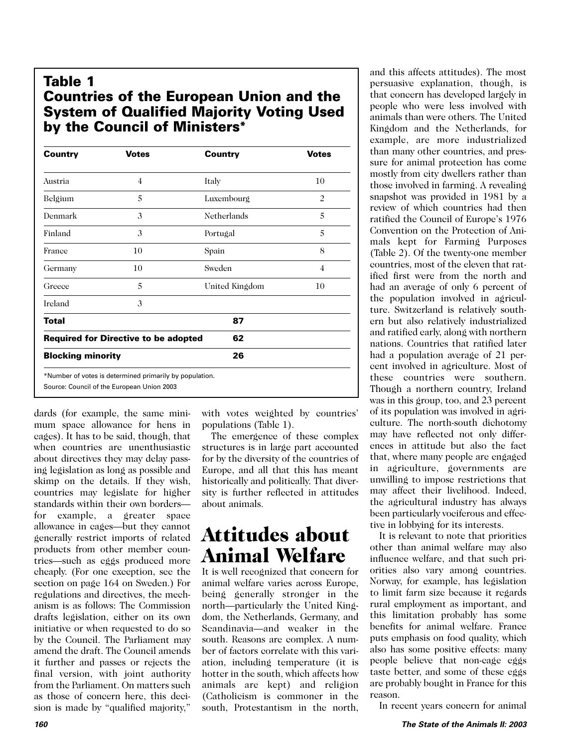### **Table 1 Countries of the European Union and the System of Qualified Majority Voting Used by the Council of Ministers\***

| <b>Country</b>           | <b>Votes</b>                                            | Country        | <b>Votes</b> |
|--------------------------|---------------------------------------------------------|----------------|--------------|
| Austria                  | $\overline{4}$                                          | Italy          | 10           |
| Belgium                  | 5                                                       | Luxembourg     | 2            |
| Denmark                  | 3                                                       | Netherlands    | 5            |
| Finland                  | 3                                                       | Portugal       | 5            |
| France                   | 10                                                      | Spain          | 8            |
| Germany                  | 10                                                      | Sweden         | 4            |
| Greece                   | 5                                                       | United Kingdom | 10           |
| Ireland                  | 3                                                       |                |              |
| <b>Total</b>             |                                                         | 87             |              |
|                          | <b>Required for Directive to be adopted</b>             | 62             |              |
| <b>Blocking minority</b> |                                                         | 26             |              |
|                          | *Number of votes is determined primarily by population. |                |              |
|                          | Source: Council of the European Union 2003              |                |              |

dards (for example, the same minimum space allowance for hens in cages). It has to be said, though, that when countries are unenthusiastic about directives they may delay passing legislation as long as possible and skimp on the details. If they wish, countries may legislate for higher standards within their own borders for example, a greater space allowance in cages—but they cannot generally restrict imports of related products from other member countries—such as eggs produced more cheaply. (For one exception, see the section on page 164 on Sweden.) For regulations and directives, the mechanism is as follows: The Commission drafts legislation, either on its own initiative or when requested to do so by the Council. The Parliament may amend the draft. The Council amends it further and passes or rejects the final version, with joint authority from the Parliament. On matters such as those of concern here, this decision is made by "qualified majority,"

with votes weighted by countries' populations (Table 1).

The emergence of these complex structures is in large part accounted for by the diversity of the countries of Europe, and all that this has meant historically and politically. That diversity is further reflected in attitudes about animals.

## Attitudes about Animal Welfare

It is well recognized that concern for animal welfare varies across Europe, being generally stronger in the north—particularly the United Kingdom, the Netherlands, Germany, and Scandinavia—and weaker in the south. Reasons are complex. A number of factors correlate with this variation, including temperature (it is hotter in the south, which affects how animals are kept) and religion (Catholicism is commoner in the south, Protestantism in the north,

and this affects attitudes). The most persuasive explanation, though, is that concern has developed largely in people who were less involved with animals than were others. The United Kingdom and the Netherlands, for example, are more industrialized than many other countries, and pressure for animal protection has come mostly from city dwellers rather than those involved in farming. A revealing snapshot was provided in 1981 by a review of which countries had then ratified the Council of Europe's 1976 Convention on the Protection of Animals kept for Farming Purposes (Table 2). Of the twenty-one member countries, most of the eleven that ratified first were from the north and had an average of only 6 percent of the population involved in agriculture. Switzerland is relatively southern but also relatively industrialized and ratified early, along with northern nations. Countries that ratified later had a population average of 21 percent involved in agriculture. Most of these countries were southern. Though a northern country, Ireland was in this group, too, and 23 percent of its population was involved in agriculture. The north-south dichotomy may have reflected not only differences in attitude but also the fact that, where many people are engaged in agriculture, governments are unwilling to impose restrictions that may affect their livelihood. Indeed, the agricultural industry has always been particularly vociferous and effective in lobbying for its interests.

It is relevant to note that priorities other than animal welfare may also influence welfare, and that such priorities also vary among countries. Norway, for example, has legislation to limit farm size because it regards rural employment as important, and this limitation probably has some benefits for animal welfare. France puts emphasis on food quality, which also has some positive effects: many people believe that non-cage eggs taste better, and some of these eggs are probably bought in France for this reason.

In recent years concern for animal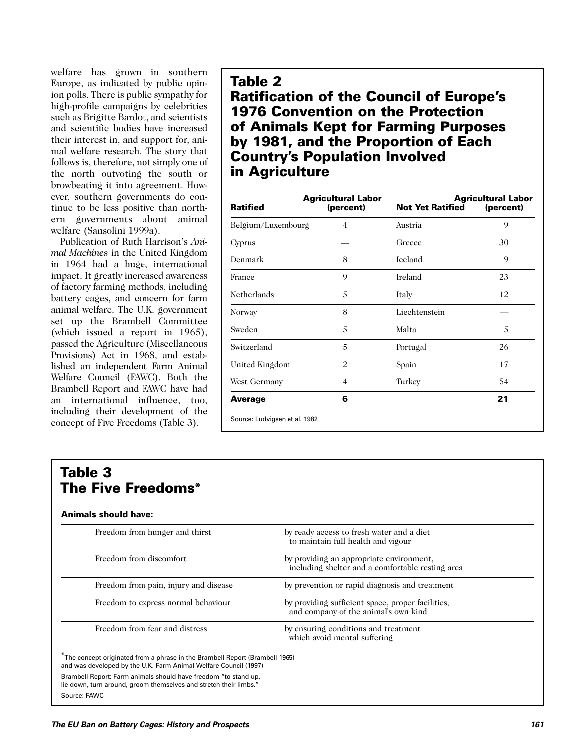welfare has grown in southern Europe, as indicated by public opinion polls. There is public sympathy for high-profile campaigns by celebrities such as Brigitte Bardot, and scientists and scientific bodies have increased their interest in, and support for, animal welfare research. The story that follows is, therefore, not simply one of the north outvoting the south or browbeating it into agreement. However, southern governments do continue to be less positive than northern governments about animal welfare (Sansolini 1999a).

Publication of Ruth Harrison's *Animal Machines* in the United Kingdom in 1964 had a huge, international impact. It greatly increased awareness of factory farming methods, including battery cages, and concern for farm animal welfare. The U.K. government set up the Brambell Committee (which issued a report in 1965), passed the Agriculture (Miscellaneous Provisions) Act in 1968, and established an independent Farm Animal Welfare Council (FAWC). Both the Brambell Report and FAWC have had an international influence, too, including their development of the concept of Five Freedoms (Table 3).

#### **Table 2 Ratification of the Council of Europe's 1976 Convention on the Protection of Animals Kept for Farming Purposes by 1981, and the Proportion of Each Country's Population Involved in Agriculture**

| <b>Ratified</b>    | <b>Agricultural Labor</b><br>(percent) | <b>Not Yet Ratified</b> | <b>Agricultural Labor</b><br>(percent) |
|--------------------|----------------------------------------|-------------------------|----------------------------------------|
| Belgium/Luxembourg | 4                                      | Austria                 | 9                                      |
| Cyprus             |                                        | Greece                  | 30                                     |
| Denmark            | 8                                      | <b>Iceland</b>          | 9                                      |
| France             | 9                                      | Ireland                 | 23                                     |
| Netherlands        | 5                                      | Italy                   | 12                                     |
| <b>Norway</b>      | 8                                      | Liechtenstein           |                                        |
| Sweden             | 5                                      | Malta                   | 5                                      |
| Switzerland        | 5                                      | Portugal                | 26                                     |
| United Kingdom     | $\overline{c}$                         | Spain                   | 17                                     |
| West Germany       | $\overline{4}$                         | Turkey                  | 54                                     |
| <b>Average</b>     | 6                                      |                         | 21                                     |

### **Table 3 The Five Freedoms\***

| Freedom from hunger and thirst        | by ready access to fresh water and a diet<br>to maintain full health and vigour              |
|---------------------------------------|----------------------------------------------------------------------------------------------|
| Freedom from discomfort               | by providing an appropriate environment,<br>including shelter and a comfortable resting area |
| Freedom from pain, injury and disease | by prevention or rapid diagnosis and treatment                                               |
| Freedom to express normal behaviour   | by providing sufficient space, proper facilities,<br>and company of the animal's own kind    |
| Freedom from fear and distress        | by ensuring conditions and treatment<br>which avoid mental suffering                         |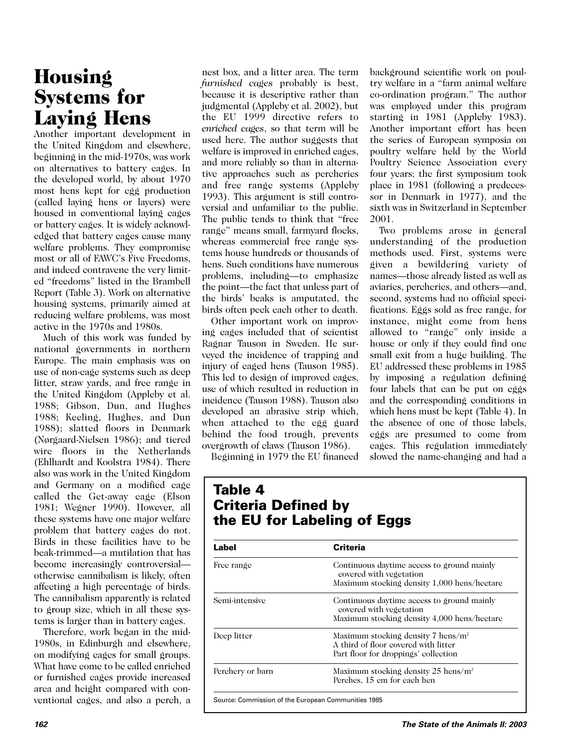# Housing Systems for Laying Hens

Another important development in the United Kingdom and elsewhere, beginning in the mid-1970s, was work on alternatives to battery cages. In the developed world, by about 1970 most hens kept for egg production (called laying hens or layers) were housed in conventional laying cages or battery cages. It is widely acknowledged that battery cages cause many welfare problems. They compromise most or all of FAWC's Five Freedoms, and indeed contravene the very limited "freedoms" listed in the Brambell Report (Table 3). Work on alternative housing systems, primarily aimed at reducing welfare problems, was most active in the 1970s and 1980s.

Much of this work was funded by national governments in northern Europe. The main emphasis was on use of non-cage systems such as deep litter, straw yards, and free range in the United Kingdom (Appleby et al. 1988; Gibson, Dun, and Hughes 1988; Keeling, Hughes, and Dun 1988); slatted floors in Denmark (Nørgaard-Nielsen 1986); and tiered wire floors in the Netherlands (Ehlhardt and Koolstra 1984). There also was work in the United Kingdom and Germany on a modified cage called the Get-away cage (Elson 1981; Wegner 1990). However, all these systems have one major welfare problem that battery cages do not. Birds in these facilities have to be beak-trimmed—a mutilation that has become increasingly controversial otherwise cannibalism is likely, often affecting a high percentage of birds. The cannibalism apparently is related to group size, which in all these systems is larger than in battery cages.

Therefore, work began in the mid-1980s, in Edinburgh and elsewhere, on modifying cages for small groups. What have come to be called enriched or furnished cages provide increased area and height compared with conventional cages, and also a perch, a

nest box, and a litter area. The term *furnished cages* probably is best, because it is descriptive rather than judgmental (Appleby et al. 2002), but the EU 1999 directive refers to *enriched cages*, so that term will be used here. The author suggests that welfare is improved in enriched cages, and more reliably so than in alternative approaches such as percheries and free range systems (Appleby 1993). This argument is still controversial and unfamiliar to the public. The public tends to think that "free range" means small, farmyard flocks, whereas commercial free range systems house hundreds or thousands of hens. Such conditions have numerous problems, including—to emphasize the point—the fact that unless part of the birds' beaks is amputated, the birds often peck each other to death.

Other important work on improving cages included that of scientist Ragnar Tauson in Sweden. He surveyed the incidence of trapping and injury of caged hens (Tauson 1985). This led to design of improved cages, use of which resulted in reduction in incidence (Tauson 1988). Tauson also developed an abrasive strip which, when attached to the egg guard behind the food trough, prevents overgrowth of claws (Tauson 1986).

starting in 1981 (Appleby 1983). Another important effort has been the series of European symposia on poultry welfare held by the World Poultry Science Association every four years; the first symposium took place in 1981 (following a predecessor in Denmark in 1977), and the sixth was in Switzerland in September 2001. Two problems arose in general

background scientific work on poultry welfare in a "farm animal welfare co-ordination program." The author was employed under this program

understanding of the production methods used. First, systems were given a bewildering variety of names—those already listed as well as aviaries, percheries, and others—and, second, systems had no official specifications. Eggs sold as free range, for instance, might come from hens allowed to "range" only inside a house or only if they could find one small exit from a huge building. The EU addressed these problems in 1985 by imposing a regulation defining four labels that can be put on eggs and the corresponding conditions in which hens must be kept (Table 4). In the absence of one of those labels, eggs are presumed to come from cages. This regulation immediately slowed the name-changing and had a

Beginning in 1979 the EU financed

#### **Table 4 Criteria Defined by the EU for Labeling of Eggs**

| Label            | Criteria                                                                                                               |
|------------------|------------------------------------------------------------------------------------------------------------------------|
| Free range       | Continuous daytime access to ground mainly<br>covered with vegetation<br>Maximum stocking density 1,000 hens/hectare   |
| Semi-intensive   | Continuous daytime access to ground mainly<br>covered with vegetation<br>Maximum stocking density 4,000 hens/hectare   |
| Deep litter      | Maximum stocking density 7 hens/ $m^2$<br>A third of floor covered with litter<br>Part floor for droppings' collection |
| Perchery or barn | Maximum stocking density 25 hens/ $m^2$<br>Perches, 15 cm for each hen                                                 |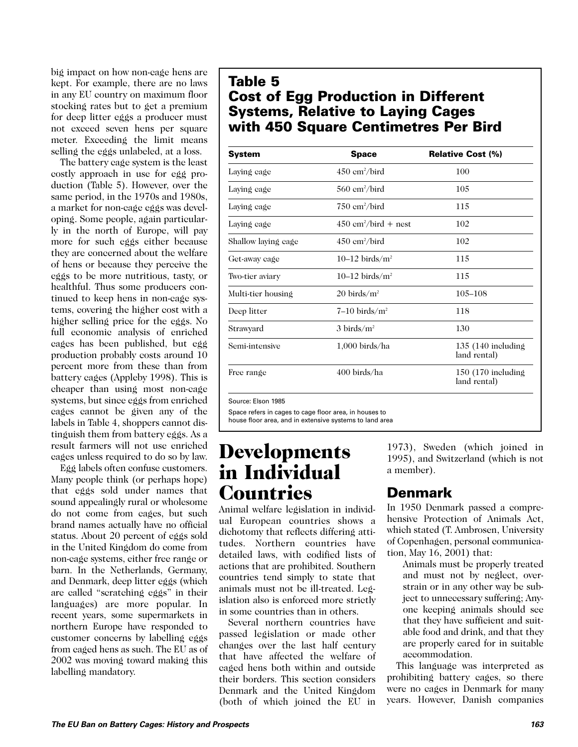big impact on how non-cage hens are kept. For example, there are no laws in any EU country on maximum floor stocking rates but to get a premium for deep litter eggs a producer must not exceed seven hens per square meter. Exceeding the limit means selling the eggs unlabeled, at a loss.

The battery cage system is the least costly approach in use for egg production (Table 5). However, over the same period, in the 1970s and 1980s, a market for non-cage eggs was developing. Some people, again particularly in the north of Europe, will pay more for such eggs either because they are concerned about the welfare of hens or because they perceive the eggs to be more nutritious, tasty, or healthful. Thus some producers continued to keep hens in non-cage systems, covering the higher cost with a higher selling price for the eggs. No full economic analysis of enriched cages has been published, but egg production probably costs around 10 percent more from these than from battery cages (Appleby 1998). This is cheaper than using most non-cage systems, but since eggs from enriched cages cannot be given any of the labels in Table 4, shoppers cannot distinguish them from battery eggs. As a result farmers will not use enriched cages unless required to do so by law.

Egg labels often confuse customers. Many people think (or perhaps hope) that eggs sold under names that sound appealingly rural or wholesome do not come from cages, but such brand names actually have no official status. About 20 percent of eggs sold in the United Kingdom do come from non-cage systems, either free range or barn. In the Netherlands, Germany, and Denmark, deep litter eggs (which are called "scratching eggs" in their languages) are more popular. In recent years, some supermarkets in northern Europe have responded to customer concerns by labelling eggs from caged hens as such. The EU as of 2002 was moving toward making this labelling mandatory.

### **Table 5 Cost of Egg Production in Different Systems, Relative to Laying Cages with 450 Square Centimetres Per Bird**

| <b>System</b>       | <b>Space</b>                                 | <b>Relative Cost (%)</b>             |
|---------------------|----------------------------------------------|--------------------------------------|
| Laying cage         | $450 \text{ cm}^2/\text{bird}$               | 100                                  |
| Laying cage         | $560 \text{ cm}^2/\text{bird}$               | 105                                  |
| Laying cage         | $750 \text{ cm}^2/\text{bird}$               | 115                                  |
| Laying cage         | $450 \text{ cm}^2/\text{bird} + \text{nest}$ | 102                                  |
| Shallow laying cage | $450 \text{ cm}^2/\text{bird}$               | 102                                  |
| Get-away cage       | 10–12 birds/ $m2$                            | 115                                  |
| Two-tier aviary     | 10–12 birds/ $m2$                            | 115                                  |
| Multi-tier housing  | $20 \text{ birds/m}^2$                       | 105-108                              |
| Deep litter         | $7-10$ birds/m <sup>2</sup>                  | 118                                  |
| Strawyard           | $3 \text{ birds/m}^2$                        | 130                                  |
| Semi-intensive      | $1,000$ birds/ha                             | 135 $(140$ including<br>land rental) |
| Free range          | 400 birds/ha                                 | $150(170)$ including<br>land rental) |

Source: Elson 1985

Space refers in cages to cage floor area, in houses to

house floor area, and in extensive systems to land area

### Developments in Individual **Countries**

Animal welfare legislation in individual European countries shows a dichotomy that reflects differing attitudes. Northern countries have detailed laws, with codified lists of actions that are prohibited. Southern countries tend simply to state that animals must not be ill-treated. Legislation also is enforced more strictly in some countries than in others.

Several northern countries have passed legislation or made other changes over the last half century that have affected the welfare of caged hens both within and outside their borders. This section considers Denmark and the United Kingdom (both of which joined the EU in 1973), Sweden (which joined in 1995), and Switzerland (which is not a member).

### **Denmark**

In 1950 Denmark passed a comprehensive Protection of Animals Act, which stated (T. Ambrosen, University of Copenhagen, personal communication, May 16, 2001) that:

Animals must be properly treated and must not by neglect, overstrain or in any other way be subject to unnecessary suffering; Anyone keeping animals should see that they have sufficient and suitable food and drink, and that they are properly cared for in suitable accommodation.

This language was interpreted as prohibiting battery cages, so there were no cages in Denmark for many years. However, Danish companies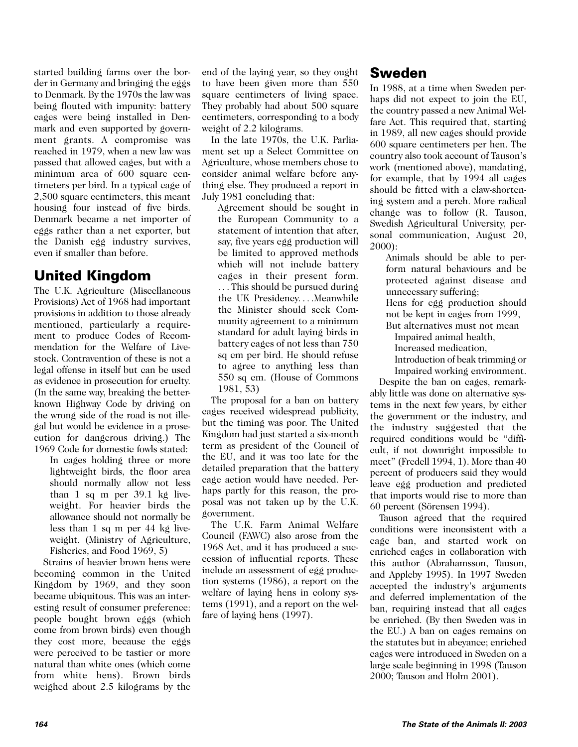started building farms over the border in Germany and bringing the eggs to Denmark. By the 1970s the law was being flouted with impunity: battery cages were being installed in Denmark and even supported by government grants. A compromise was reached in 1979, when a new law was passed that allowed cages, but with a minimum area of 600 square centimeters per bird. In a typical cage of 2,500 square centimeters, this meant housing four instead of five birds. Denmark became a net importer of eggs rather than a net exporter, but the Danish egg industry survives, even if smaller than before.

### **United Kingdom**

The U.K. Agriculture (Miscellaneous Provisions) Act of 1968 had important provisions in addition to those already mentioned, particularly a requirement to produce Codes of Recommendation for the Welfare of Livestock. Contravention of these is not a legal offense in itself but can be used as evidence in prosecution for cruelty. (In the same way, breaking the betterknown Highway Code by driving on the wrong side of the road is not illegal but would be evidence in a prosecution for dangerous driving.) The 1969 Code for domestic fowls stated:

In cages holding three or more lightweight birds, the floor area should normally allow not less than 1 sq m per 39.1 kg liveweight. For heavier birds the allowance should not normally be less than 1 sq m per 44 kg liveweight. (Ministry of Agriculture, Fisheries, and Food 1969, 5)

Strains of heavier brown hens were becoming common in the United Kingdom by 1969, and they soon became ubiquitous. This was an interesting result of consumer preference: people bought brown eggs (which come from brown birds) even though they cost more, because the eggs were perceived to be tastier or more natural than white ones (which come from white hens). Brown birds weighed about 2.5 kilograms by the end of the laying year, so they ought to have been given more than 550 square centimeters of living space. They probably had about 500 square centimeters, corresponding to a body weight of 2.2 kilograms.

In the late 1970s, the U.K. Parliament set up a Select Committee on Agriculture, whose members chose to consider animal welfare before anything else. They produced a report in July 1981 concluding that:

Agreement should be sought in the European Community to a statement of intention that after, say, five years egg production will be limited to approved methods which will not include battery cages in their present form. . . . This should be pursued during the UK Presidency. . . .Meanwhile the Minister should seek Community agreement to a minimum standard for adult laying birds in battery cages of not less than 750 sq cm per bird. He should refuse to agree to anything less than 550 sq cm. (House of Commons 1981, 53)

The proposal for a ban on battery cages received widespread publicity, but the timing was poor. The United Kingdom had just started a six-month term as president of the Council of the EU, and it was too late for the detailed preparation that the battery cage action would have needed. Perhaps partly for this reason, the proposal was not taken up by the U.K. government.

The U.K. Farm Animal Welfare Council (FAWC) also arose from the 1968 Act, and it has produced a succession of influential reports. These include an assessment of egg production systems (1986), a report on the welfare of laying hens in colony systems (1991), and a report on the welfare of laying hens (1997).

#### **Sweden**

In 1988, at a time when Sweden perhaps did not expect to join the EU, the country passed a new Animal Welfare Act. This required that, starting in 1989, all new cages should provide 600 square centimeters per hen. The country also took account of Tauson's work (mentioned above), mandating, for example, that by 1994 all cages should be fitted with a claw-shortening system and a perch. More radical change was to follow (R. Tauson, Swedish Agricultural University, personal communication, August 20, 2000):

Animals should be able to perform natural behaviours and be protected against disease and unnecessary suffering;

Hens for egg production should not be kept in cages from 1999,

But alternatives must not mean Impaired animal health,

Increased medication,

Introduction of beak trimming or

Impaired working environment. Despite the ban on cages, remarkably little was done on alternative systems in the next few years, by either the government or the industry, and the industry suggested that the required conditions would be "difficult, if not downright impossible to meet" (Fredell 1994, 1). More than 40 percent of producers said they would leave egg production and predicted that imports would rise to more than 60 percent (Sörensen 1994).

Tauson agreed that the required conditions were inconsistent with a cage ban, and started work on enriched cages in collaboration with this author (Abrahamsson, Tauson, and Appleby 1995). In 1997 Sweden accepted the industry's arguments and deferred implementation of the ban, requiring instead that all cages be enriched. (By then Sweden was in the EU.) A ban on cages remains on the statutes but in abeyance; enriched cages were introduced in Sweden on a large scale beginning in 1998 (Tauson 2000; Tauson and Holm 2001).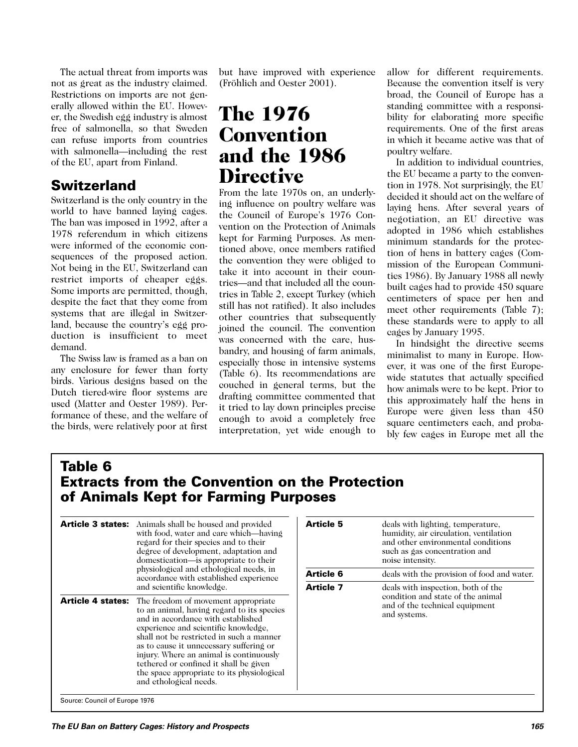The actual threat from imports was not as great as the industry claimed. Restrictions on imports are not generally allowed within the EU. However, the Swedish egg industry is almost free of salmonella, so that Sweden can refuse imports from countries with salmonella—including the rest of the EU, apart from Finland.

### **Switzerland**

Switzerland is the only country in the world to have banned laying cages. The ban was imposed in 1992, after a 1978 referendum in which citizens were informed of the economic consequences of the proposed action. Not being in the EU, Switzerland can restrict imports of cheaper eggs. Some imports are permitted, though, despite the fact that they come from systems that are illegal in Switzerland, because the country's egg production is insufficient to meet demand.

The Swiss law is framed as a ban on any enclosure for fewer than forty birds. Various designs based on the Dutch tiered-wire floor systems are used (Matter and Oester 1989). Performance of these, and the welfare of the birds, were relatively poor at first

but have improved with experience (Fröhlich and Oester 2001).

# The 1976 Convention and the 1986 **Directive**

From the late 1970s on, an underlying influence on poultry welfare was the Council of Europe's 1976 Convention on the Protection of Animals kept for Farming Purposes. As mentioned above, once members ratified the convention they were obliged to take it into account in their countries—and that included all the countries in Table 2, except Turkey (which still has not ratified). It also includes other countries that subsequently joined the council. The convention was concerned with the care, husbandry, and housing of farm animals, especially those in intensive systems (Table 6). Its recommendations are couched in general terms, but the drafting committee commented that it tried to lay down principles precise enough to avoid a completely free interpretation, yet wide enough to

allow for different requirements. Because the convention itself is very broad, the Council of Europe has a standing committee with a responsibility for elaborating more specific requirements. One of the first areas in which it became active was that of poultry welfare.

In addition to individual countries, the EU became a party to the convention in 1978. Not surprisingly, the EU decided it should act on the welfare of laying hens. After several years of negotiation, an EU directive was adopted in 1986 which establishes minimum standards for the protection of hens in battery cages (Commission of the European Communities 1986). By January 1988 all newly built cages had to provide 450 square centimeters of space per hen and meet other requirements (Table 7); these standards were to apply to all cages by January 1995.

In hindsight the directive seems minimalist to many in Europe. However, it was one of the first Europewide statutes that actually specified how animals were to be kept. Prior to this approximately half the hens in Europe were given less than 450 square centimeters each, and probably few cages in Europe met all the

### **Table 6 Extracts from the Convention on the Protection of Animals Kept for Farming Purposes**

| <b>Article 3 states:</b> | Animals shall be housed and provided<br>with food, water and care which—having<br>regard for their species and to their<br>degree of development, adaptation and<br>domestication—is appropriate to their<br>physiological and ethological needs, in<br>accordance with established experience<br>and scientific knowledge.                                                                                         |
|--------------------------|---------------------------------------------------------------------------------------------------------------------------------------------------------------------------------------------------------------------------------------------------------------------------------------------------------------------------------------------------------------------------------------------------------------------|
| <b>Article 4 states:</b> | The freedom of movement appropriate<br>to an animal, having regard to its species<br>and in accordance with established<br>experience and scientific knowledge,<br>shall not be restricted in such a manner<br>as to cause it unnecessary suffering or<br>injury. Where an animal is continuously<br>tethered or confined it shall be given<br>the space appropriate to its physiological<br>and ethological needs. |

| <b>Article 5</b> | deals with lighting, temperature,<br>humidity, air circulation, ventilation<br>and other environmental conditions         |
|------------------|---------------------------------------------------------------------------------------------------------------------------|
|                  | such as gas concentration and<br>noise intensity.                                                                         |
| Article 6        | deals with the provision of food and water.                                                                               |
| Article 7        | deals with inspection, both of the<br>eondition and state of the animal<br>and of the technical equipment<br>and systems. |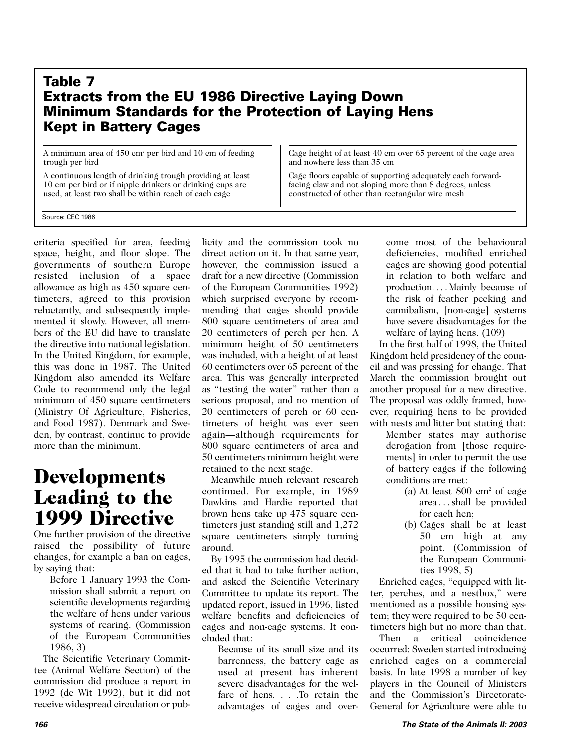#### **Table 7 Extracts from the EU 1986 Directive Laying Down Minimum Standards for the Protection of Laying Hens Kept in Battery Cages**

A minimum area of 450 cm2 per bird and 10 cm of feeding trough per bird

A continuous length of drinking trough providing at least 10 cm per bird or if nipple drinkers or drinking cups are used, at least two shall be within reach of each cage

Cage height of at least 40 cm over 65 percent of the cage area and nowhere less than 35 cm

Cage floors capable of supporting adequately each forwardfacing claw and not sloping more than 8 degrees, unless constructed of other than rectangular wire mesh

Source: CEC 1986

criteria specified for area, feeding space, height, and floor slope. The governments of southern Europe resisted inclusion of a space allowance as high as 450 square centimeters, agreed to this provision reluctantly, and subsequently implemented it slowly. However, all members of the EU did have to translate the directive into national legislation. In the United Kingdom, for example, this was done in 1987. The United Kingdom also amended its Welfare Code to recommend only the legal minimum of 450 square centimeters (Ministry Of Agriculture, Fisheries, and Food 1987). Denmark and Sweden, by contrast, continue to provide more than the minimum.

### Developments Leading to the 1999 Directive

One further provision of the directive raised the possibility of future changes, for example a ban on cages, by saying that:

Before 1 January 1993 the Commission shall submit a report on scientific developments regarding the welfare of hens under various systems of rearing. (Commission of the European Communities 1986, 3)

The Scientific Veterinary Committee (Animal Welfare Section) of the commission did produce a report in 1992 (de Wit 1992), but it did not receive widespread circulation or publicity and the commission took no direct action on it. In that same year, however, the commission issued a draft for a new directive (Commission of the European Communities 1992) which surprised everyone by recommending that cages should provide 800 square centimeters of area and 20 centimeters of perch per hen. A minimum height of 50 centimeters was included, with a height of at least 60 centimeters over 65 percent of the area. This was generally interpreted as "testing the water" rather than a serious proposal, and no mention of 20 centimeters of perch or 60 centimeters of height was ever seen again—although requirements for 800 square centimeters of area and 50 centimeters minimum height were retained to the next stage.

Meanwhile much relevant research continued. For example, in 1989 Dawkins and Hardie reported that brown hens take up 475 square centimeters just standing still and 1,272 square centimeters simply turning around.

By 1995 the commission had decided that it had to take further action, and asked the Scientific Veterinary Committee to update its report. The updated report, issued in 1996, listed welfare benefits and deficiencies of cages and non-cage systems. It concluded that:

Because of its small size and its barrenness, the battery cage as used at present has inherent severe disadvantages for the welfare of hens. . . .To retain the advantages of cages and overcome most of the behavioural deficiencies, modified enriched cages are showing good potential in relation to both welfare and production.... Mainly because of the risk of feather pecking and cannibalism, [non-cage] systems have severe disadvantages for the welfare of laying hens. (109)

In the first half of 1998, the United Kingdom held presidency of the council and was pressing for change. That March the commission brought out another proposal for a new directive. The proposal was oddly framed, however, requiring hens to be provided with nests and litter but stating that:

- Member states may authorise derogation from [those requirements] in order to permit the use of battery cages if the following conditions are met:
	- (a) At least  $800 \text{ cm}^2$  of cage area . . . shall be provided for each hen;
	- (b) Cages shall be at least 50 cm high at any point. (Commission of the European Communities 1998, 5)

Enriched cages, "equipped with litter, perches, and a nestbox," were mentioned as a possible housing system; they were required to be 50 centimeters high but no more than that.

Then a critical coincidence occurred: Sweden started introducing enriched cages on a commercial basis. In late 1998 a number of key players in the Council of Ministers and the Commission's Directorate-General for Agriculture were able to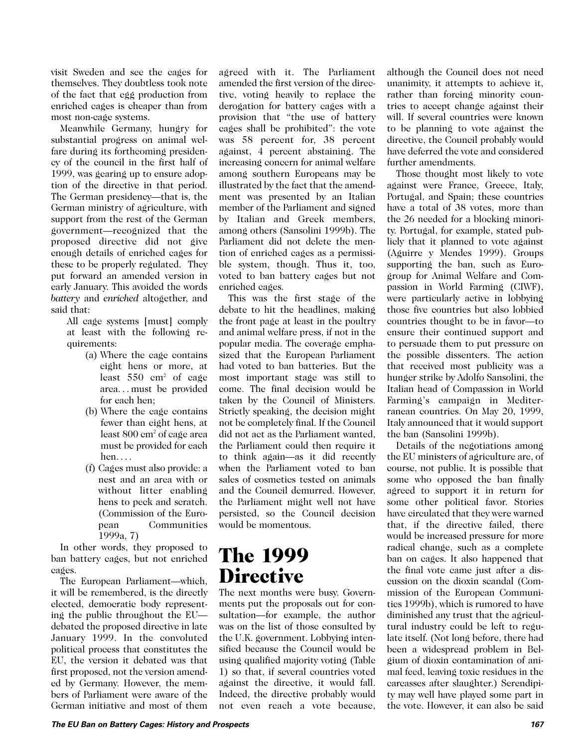visit Sweden and see the cages for themselves. They doubtless took note of the fact that egg production from enriched cages is cheaper than from most non-cage systems.

Meanwhile Germany, hungry for substantial progress on animal welfare during its forthcoming presidency of the council in the first half of 1999, was gearing up to ensure adoption of the directive in that period. The German presidency—that is, the German ministry of agriculture, with support from the rest of the German government—recognized that the proposed directive did not give enough details of enriched cages for these to be properly regulated. They put forward an amended version in early January. This avoided the words *battery* and *enriched* altogether, and said that:

All cage systems [must] comply at least with the following requirements:

- (a) Where the cage contains eight hens or more, at least  $550$  cm<sup>2</sup> of cage area. . . must be provided for each hen;
- (b) Where the cage contains fewer than eight hens, at least 800 cm2 of cage area must be provided for each hen. . . .
- (f) Cages must also provide: a nest and an area with or without litter enabling hens to peck and scratch. (Commission of the European Communities 1999a, 7)

In other words, they proposed to ban battery cages, but not enriched cages.

The European Parliament—which, it will be remembered, is the directly elected, democratic body representing the public throughout the EU debated the proposed directive in late January 1999. In the convoluted political process that constitutes the EU, the version it debated was that first proposed, not the version amended by Germany. However, the members of Parliament were aware of the German initiative and most of them agreed with it. The Parliament amended the first version of the directive, voting heavily to replace the derogation for battery cages with a provision that "the use of battery cages shall be prohibited": the vote was 58 percent for, 38 percent against, 4 percent abstaining. The increasing concern for animal welfare among southern Europeans may be illustrated by the fact that the amendment was presented by an Italian member of the Parliament and signed by Italian and Greek members, among others (Sansolini 1999b). The Parliament did not delete the mention of enriched cages as a permissible system, though. Thus it, too, voted to ban battery cages but not enriched cages.

This was the first stage of the debate to hit the headlines, making the front page at least in the poultry and animal welfare press, if not in the popular media. The coverage emphasized that the European Parliament had voted to ban batteries. But the most important stage was still to come. The final decision would be taken by the Council of Ministers. Strictly speaking, the decision might not be completely final. If the Council did not act as the Parliament wanted, the Parliament could then require it to think again—as it did recently when the Parliament voted to ban sales of cosmetics tested on animals and the Council demurred. However, the Parliament might well not have persisted, so the Council decision would be momentous.

### The 1999 **Directive**

The next months were busy. Governments put the proposals out for consultation—for example, the author was on the list of those consulted by the U.K. government. Lobbying intensified because the Council would be using qualified majority voting (Table 1) so that, if several countries voted against the directive, it would fall. Indeed, the directive probably would not even reach a vote because, although the Council does not need unanimity, it attempts to achieve it, rather than forcing minority countries to accept change against their will. If several countries were known to be planning to vote against the directive, the Council probably would have deferred the vote and considered further amendments.

Those thought most likely to vote against were France, Greece, Italy, Portugal, and Spain; these countries have a total of 38 votes, more than the 26 needed for a blocking minority. Portugal, for example, stated publicly that it planned to vote against (Aguirre y Mendes 1999). Groups supporting the ban, such as Eurogroup for Animal Welfare and Compassion in World Farming (CIWF), were particularly active in lobbying those five countries but also lobbied countries thought to be in favor—to ensure their continued support and to persuade them to put pressure on the possible dissenters. The action that received most publicity was a hunger strike by Adolfo Sansolini, the Italian head of Compassion in World Farming's campaign in Mediterranean countries. On May 20, 1999, Italy announced that it would support the ban (Sansolini 1999b).

Details of the negotiations among the EU ministers of agriculture are, of course, not public. It is possible that some who opposed the ban finally agreed to support it in return for some other political favor. Stories have circulated that they were warned that, if the directive failed, there would be increased pressure for more radical change, such as a complete ban on cages. It also happened that the final vote came just after a discussion on the dioxin scandal (Commission of the European Communities 1999b), which is rumored to have diminished any trust that the agricultural industry could be left to regulate itself. (Not long before, there had been a widespread problem in Belgium of dioxin contamination of animal feed, leaving toxic residues in the carcasses after slaughter.) Serendipity may well have played some part in the vote. However, it can also be said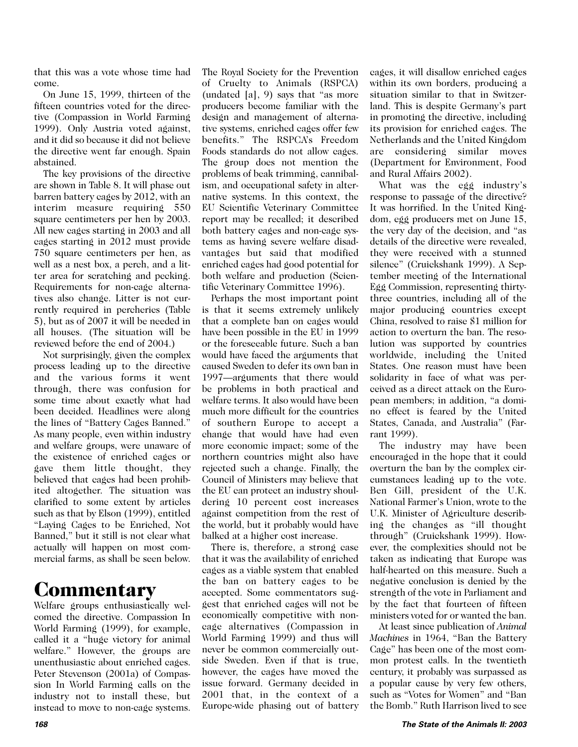that this was a vote whose time had come.

On June 15, 1999, thirteen of the fifteen countries voted for the directive (Compassion in World Farming 1999). Only Austria voted against, and it did so because it did not believe the directive went far enough. Spain abstained.

The key provisions of the directive are shown in Table 8. It will phase out barren battery cages by 2012, with an interim measure requiring 550 square centimeters per hen by 2003. All new cages starting in 2003 and all cages starting in 2012 must provide 750 square centimeters per hen, as well as a nest box, a perch, and a litter area for scratching and pecking. Requirements for non-cage alternatives also change. Litter is not currently required in percheries (Table 5), but as of 2007 it will be needed in all houses. (The situation will be reviewed before the end of 2004.)

Not surprisingly, given the complex process leading up to the directive and the various forms it went through, there was confusion for some time about exactly what had been decided. Headlines were along the lines of "Battery Cages Banned." As many people, even within industry and welfare groups, were unaware of the existence of enriched cages or gave them little thought, they believed that cages had been prohibited altogether. The situation was clarified to some extent by articles such as that by Elson (1999), entitled "Laying Cages to be Enriched, Not Banned," but it still is not clear what actually will happen on most commercial farms, as shall be seen below.

### **Commentary**

Welfare groups enthusiastically welcomed the directive. Compassion In World Farming (1999), for example, called it a "huge victory for animal welfare." However, the groups are unenthusiastic about enriched cages. Peter Stevenson (2001a) of Compassion In World Farming calls on the industry not to install these, but instead to move to non-cage systems. The Royal Society for the Prevention of Cruelty to Animals (RSPCA) (undated [a], 9) says that "as more producers become familiar with the design and management of alternative systems, enriched cages offer few benefits." The RSPCA's Freedom Foods standards do not allow cages. The group does not mention the problems of beak trimming, cannibalism, and occupational safety in alternative systems. In this context, the EU Scientific Veterinary Committee report may be recalled; it described both battery cages and non-cage systems as having severe welfare disadvantages but said that modified enriched cages had good potential for both welfare and production (Scientific Veterinary Committee 1996).

Perhaps the most important point is that it seems extremely unlikely that a complete ban on cages would have been possible in the EU in 1999 or the foreseeable future. Such a ban would have faced the arguments that caused Sweden to defer its own ban in 1997—arguments that there would be problems in both practical and welfare terms. It also would have been much more difficult for the countries of southern Europe to accept a change that would have had even more economic impact; some of the northern countries might also have rejected such a change. Finally, the Council of Ministers may believe that the EU can protect an industry shouldering 10 percent cost increases against competition from the rest of the world, but it probably would have balked at a higher cost increase.

There is, therefore, a strong case that it was the availability of enriched cages as a viable system that enabled the ban on battery cages to be accepted. Some commentators suggest that enriched cages will not be economically competitive with noncage alternatives (Compassion in World Farming 1999) and thus will never be common commercially outside Sweden. Even if that is true, however, the cages have moved the issue forward. Germany decided in 2001 that, in the context of a Europe-wide phasing out of battery cages, it will disallow enriched cages within its own borders, producing a situation similar to that in Switzerland. This is despite Germany's part in promoting the directive, including its provision for enriched cages. The Netherlands and the United Kingdom are considering similar moves (Department for Environment, Food and Rural Affairs 2002).

What was the egg industry's response to passage of the directive? It was horrified. In the United Kingdom, egg producers met on June 15, the very day of the decision, and "as details of the directive were revealed, they were received with a stunned silence" (Cruickshank 1999). A September meeting of the International Egg Commission, representing thirtythree countries, including all of the major producing countries except China, resolved to raise \$1 million for action to overturn the ban. The resolution was supported by countries worldwide, including the United States. One reason must have been solidarity in face of what was perceived as a direct attack on the European members; in addition, "a domino effect is feared by the United States, Canada, and Australia" (Farrant 1999).

The industry may have been encouraged in the hope that it could overturn the ban by the complex circumstances leading up to the vote. Ben Gill, president of the U.K. National Farmer's Union, wrote to the U.K. Minister of Agriculture describing the changes as "ill thought through" (Cruickshank 1999). However, the complexities should not be taken as indicating that Europe was half-hearted on this measure. Such a negative conclusion is denied by the strength of the vote in Parliament and by the fact that fourteen of fifteen ministers voted for or wanted the ban.

At least since publication of *Animal Machines* in 1964, "Ban the Battery Cage" has been one of the most common protest calls. In the twentieth century, it probably was surpassed as a popular cause by very few others, such as "Votes for Women" and "Ban the Bomb." Ruth Harrison lived to see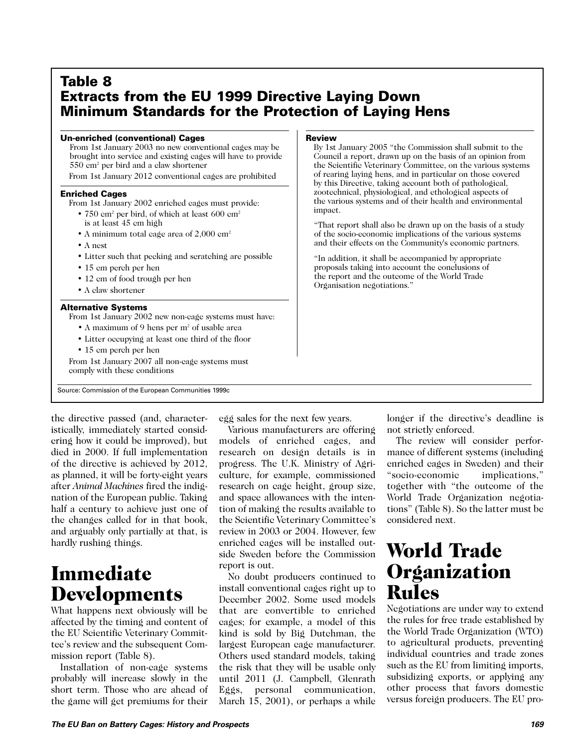#### **Table 8 Extracts from the EU 1999 Directive Laying Down Minimum Standards for the Protection of Laying Hens**

#### **Un-enriched (conventional) Cages**

From 1st January 2003 no new conventional cages may be brought into service and existing cages will have to provide 550 cm2 per bird and a claw shortener From 1st January 2012 conventional cages are prohibited

#### **Enriched Cages**

From 1st January 2002 enriched cages must provide:

- 750 cm<sup>2</sup> per bird, of which at least 600 cm<sup>2</sup> is at least 45 cm high
- A minimum total cage area of 2,000 cm<sup>2</sup>
- A nest
- Litter such that pecking and scratching are possible
- 15 cm perch per hen
- 12 cm of food trough per hen
- A claw shortener

#### **Alternative Systems**

From 1st January 2002 new non-cage systems must have:

- A maximum of 9 hens per m2 of usable area
- Litter occupying at least one third of the floor
- 15 cm perch per hen

From 1st January 2007 all non-cage systems must comply with these conditions

Source: Commission of the European Communities 1999c

#### **Review**

By 1st January 2005 "the Commission shall submit to the Council a report, drawn up on the basis of an opinion from the Scientific Veterinary Committee, on the various systems of rearing laying hens, and in particular on those covered by this Directive, taking account both of pathological, zootechnical, physiological, and ethological aspects of the various systems and of their health and environmental impact.

"That report shall also be drawn up on the basis of a study of the socio-economic implications of the various systems and their effects on the Community's economic partners.

"In addition, it shall be accompanied by appropriate proposals taking into account the conclusions of the report and the outcome of the World Trade Organisation negotiations."

the directive passed (and, characteristically, immediately started considering how it could be improved), but died in 2000. If full implementation of the directive is achieved by 2012, as planned, it will be forty-eight years after *Animal Machines* fired the indignation of the European public. Taking half a century to achieve just one of the changes called for in that book, and arguably only partially at that, is hardly rushing things.

# Immediate Developments

What happens next obviously will be affected by the timing and content of the EU Scientific Veterinary Committee's review and the subsequent Commission report (Table 8).

Installation of non-cage systems probably will increase slowly in the short term. Those who are ahead of the game will get premiums for their

egg sales for the next few years.

Various manufacturers are offering models of enriched cages, and research on design details is in progress. The U.K. Ministry of Agriculture, for example, commissioned research on cage height, group size, and space allowances with the intention of making the results available to the Scientific Veterinary Committee's review in 2003 or 2004. However, few enriched cages will be installed outside Sweden before the Commission report is out.

No doubt producers continued to install conventional cages right up to December 2002. Some used models that are convertible to enriched cages; for example, a model of this kind is sold by Big Dutchman, the largest European cage manufacturer. Others used standard models, taking the risk that they will be usable only until 2011 (J. Campbell, Glenrath Eggs, personal communication, March 15, 2001), or perhaps a while

longer if the directive's deadline is not strictly enforced.

The review will consider performance of different systems (including enriched cages in Sweden) and their "socio-economic implications," together with "the outcome of the World Trade Organization negotiations" (Table 8). So the latter must be considered next.

### World Trade **Organization** Rules

Negotiations are under way to extend the rules for free trade established by the World Trade Organization (WTO) to agricultural products, preventing individual countries and trade zones such as the EU from limiting imports, subsidizing exports, or applying any other process that favors domestic versus foreign producers. The EU pro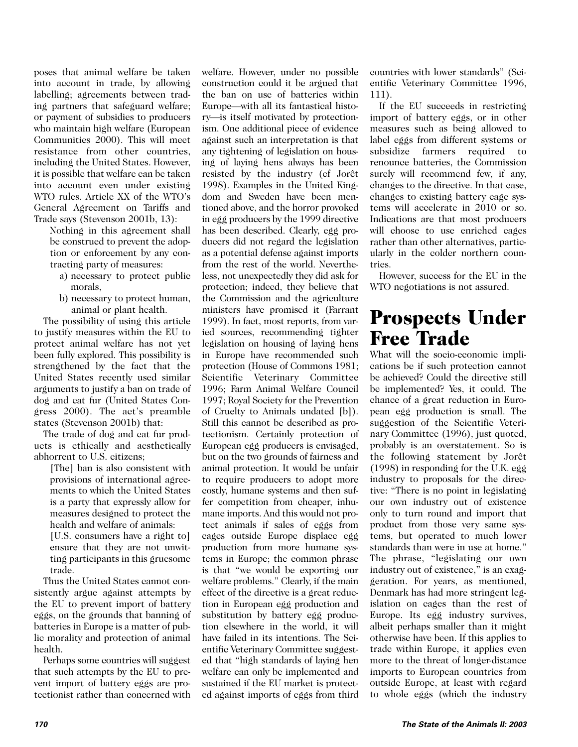poses that animal welfare be taken into account in trade, by allowing labelling; agreements between trading partners that safeguard welfare; or payment of subsidies to producers who maintain high welfare (European Communities 2000). This will meet resistance from other countries, including the United States. However, it is possible that welfare can be taken into account even under existing WTO rules. Article XX of the WTO's General Agreement on Tariffs and Trade says (Stevenson 2001b, 13):

Nothing in this agreement shall be construed to prevent the adoption or enforcement by any contracting party of measures:

- a) necessary to protect public morals,
- b) necessary to protect human, animal or plant health.

The possibility of using this article to justify measures within the EU to protect animal welfare has not yet been fully explored. This possibility is strengthened by the fact that the United States recently used similar arguments to justify a ban on trade of dog and cat fur (United States Congress 2000). The act's preamble states (Stevenson 2001b) that:

The trade of dog and cat fur products is ethically and aesthetically abhorrent to U.S. citizens;

[The] ban is also consistent with provisions of international agreements to which the United States is a party that expressly allow for measures designed to protect the health and welfare of animals: [U.S. consumers have a right to]

ensure that they are not unwitting participants in this gruesome trade.

Thus the United States cannot consistently argue against attempts by the EU to prevent import of battery eggs, on the grounds that banning of batteries in Europe is a matter of public morality and protection of animal health.

Perhaps some countries will suggest that such attempts by the EU to prevent import of battery eggs are protectionist rather than concerned with

welfare. However, under no possible construction could it be argued that the ban on use of batteries within Europe—with all its fantastical history—is itself motivated by protectionism. One additional piece of evidence against such an interpretation is that any tightening of legislation on housing of laying hens always has been resisted by the industry (cf Jorêt 1998). Examples in the United Kingdom and Sweden have been mentioned above, and the horror provoked in egg producers by the 1999 directive has been described. Clearly, egg producers did not regard the legislation as a potential defense against imports from the rest of the world. Nevertheless, not unexpectedly they did ask for protection; indeed, they believe that the Commission and the agriculture ministers have promised it (Farrant 1999). In fact, most reports, from varied sources, recommending tighter legislation on housing of laying hens in Europe have recommended such protection (House of Commons 1981; Scientific Veterinary Committee 1996; Farm Animal Welfare Council 1997; Royal Society for the Prevention of Cruelty to Animals undated [b]). Still this cannot be described as protectionism. Certainly protection of European egg producers is envisaged, but on the two grounds of fairness and animal protection. It would be unfair to require producers to adopt more costly, humane systems and then suffer competition from cheaper, inhumane imports. And this would not protect animals if sales of eggs from cages outside Europe displace egg production from more humane systems in Europe; the common phrase is that "we would be exporting our welfare problems." Clearly, if the main effect of the directive is a great reduction in European egg production and substitution by battery egg production elsewhere in the world, it will have failed in its intentions. The Scientific Veterinary Committee suggested that "high standards of laying hen welfare can only be implemented and sustained if the EU market is protected against imports of eggs from third

countries with lower standards" (Scientific Veterinary Committee 1996, 111).

If the EU succeeds in restricting import of battery eggs, or in other measures such as being allowed to label eggs from different systems or subsidize farmers required to renounce batteries, the Commission surely will recommend few, if any, changes to the directive. In that case, changes to existing battery cage systems will accelerate in 2010 or so. Indications are that most producers will choose to use enriched cages rather than other alternatives, particularly in the colder northern countries.

However, success for the EU in the WTO negotiations is not assured.

### Prospects Under Free Trade

What will the socio-economic implications be if such protection cannot be achieved? Could the directive still be implemented? Yes, it could. The chance of a great reduction in European egg production is small. The suggestion of the Scientific Veterinary Committee (1996), just quoted, probably is an overstatement. So is the following statement by Jorêt (1998) in responding for the U.K. egg industry to proposals for the directive: "There is no point in legislating our own industry out of existence only to turn round and import that product from those very same systems, but operated to much lower standards than were in use at home." The phrase, "legislating our own industry out of existence," is an exaggeration. For years, as mentioned, Denmark has had more stringent legislation on cages than the rest of Europe. Its egg industry survives, albeit perhaps smaller than it might otherwise have been. If this applies to trade within Europe, it applies even more to the threat of longer-distance imports to European countries from outside Europe, at least with regard to whole eggs (which the industry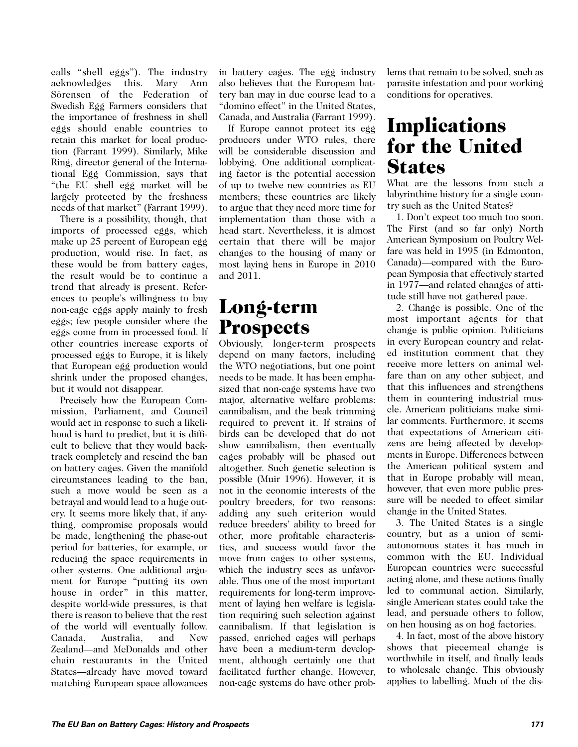calls "shell eggs"). The industry acknowledges this. Mary Ann Sörensen of the Federation of Swedish Egg Farmers considers that the importance of freshness in shell eggs should enable countries to retain this market for local production (Farrant 1999). Similarly, Mike Ring, director general of the International Egg Commission, says that "the EU shell egg market will be largely protected by the freshness needs of that market" (Farrant 1999).

There is a possibility, though, that imports of processed eggs, which make up 25 percent of European egg production, would rise. In fact, as these would be from battery cages, the result would be to continue a trend that already is present. References to people's willingness to buy non-cage eggs apply mainly to fresh eggs; few people consider where the eggs come from in processed food. If other countries increase exports of processed eggs to Europe, it is likely that European egg production would shrink under the proposed changes, but it would not disappear.

Precisely how the European Commission, Parliament, and Council would act in response to such a likelihood is hard to predict, but it is difficult to believe that they would backtrack completely and rescind the ban on battery cages. Given the manifold circumstances leading to the ban, such a move would be seen as a betrayal and would lead to a huge outcry. It seems more likely that, if anything, compromise proposals would be made, lengthening the phase-out period for batteries, for example, or reducing the space requirements in other systems. One additional argument for Europe "putting its own house in order" in this matter, despite world-wide pressures, is that there is reason to believe that the rest of the world will eventually follow. Canada, Australia, and New Zealand—and McDonalds and other chain restaurants in the United States—already have moved toward matching European space allowances in battery cages. The egg industry also believes that the European battery ban may in due course lead to a "domino effect" in the United States, Canada, and Australia (Farrant 1999).

If Europe cannot protect its egg producers under WTO rules, there will be considerable discussion and lobbying. One additional complicating factor is the potential accession of up to twelve new countries as EU members; these countries are likely to argue that they need more time for implementation than those with a head start. Nevertheless, it is almost certain that there will be major changes to the housing of many or most laying hens in Europe in 2010 and 2011.

### Long-term **Prospects**

Obviously, longer-term prospects depend on many factors, including the WTO negotiations, but one point needs to be made. It has been emphasized that non-cage systems have two major, alternative welfare problems: cannibalism, and the beak trimming required to prevent it. If strains of birds can be developed that do not show cannibalism, then eventually cages probably will be phased out altogether. Such genetic selection is possible (Muir 1996). However, it is not in the economic interests of the poultry breeders, for two reasons: adding any such criterion would reduce breeders' ability to breed for other, more profitable characteristics, and success would favor the move from cages to other systems, which the industry sees as unfavorable. Thus one of the most important requirements for long-term improvement of laying hen welfare is legislation requiring such selection against cannibalism. If that legislation is passed, enriched cages will perhaps have been a medium-term development, although certainly one that facilitated further change. However, non-cage systems do have other problems that remain to be solved, such as parasite infestation and poor working conditions for operatives.

# **Implications** for the United **States**

What are the lessons from such a labyrinthine history for a single country such as the United States?

1. Don't expect too much too soon. The First (and so far only) North American Symposium on Poultry Welfare was held in 1995 (in Edmonton, Canada)—compared with the European Symposia that effectively started in 1977—and related changes of attitude still have not gathered pace.

2. Change is possible. One of the most important agents for that change is public opinion. Politicians in every European country and related institution comment that they receive more letters on animal welfare than on any other subject, and that this influences and strengthens them in countering industrial muscle. American politicians make similar comments. Furthermore, it seems that expectations of American citizens are being affected by developments in Europe. Differences between the American political system and that in Europe probably will mean, however, that even more public pressure will be needed to effect similar change in the United States.

3. The United States is a single country, but as a union of semiautonomous states it has much in common with the EU. Individual European countries were successful acting alone, and these actions finally led to communal action. Similarly, single American states could take the lead, and persuade others to follow, on hen housing as on hog factories.

4. In fact, most of the above history shows that piecemeal change is worthwhile in itself, and finally leads to wholesale change. This obviously applies to labelling. Much of the dis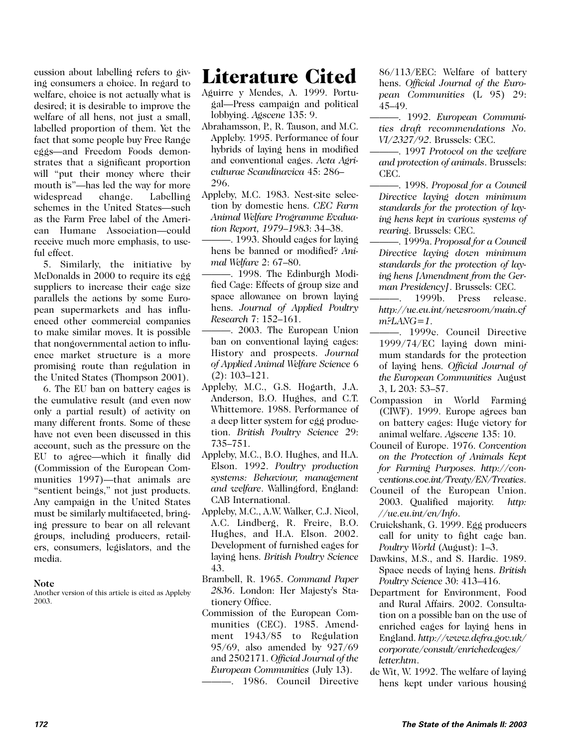cussion about labelling refers to giving consumers a choice. In regard to welfare, choice is not actually what is desired; it is desirable to improve the welfare of all hens, not just a small, labelled proportion of them. Yet the fact that some people buy Free Range eggs—and Freedom Foods demonstrates that a significant proportion will "put their money where their mouth is"—has led the way for more widespread change. Labelling schemes in the United States—such as the Farm Free label of the American Humane Association—could receive much more emphasis, to useful effect.

5. Similarly, the initiative by McDonalds in 2000 to require its egg suppliers to increase their cage size parallels the actions by some European supermarkets and has influenced other commercial companies to make similar moves. It is possible that nongovernmental action to influence market structure is a more promising route than regulation in the United States (Thompson 2001).

6. The EU ban on battery cages is the cumulative result (and even now only a partial result) of activity on many different fronts. Some of these have not even been discussed in this account, such as the pressure on the EU to agree—which it finally did (Commission of the European Communities 1997)—that animals are "sentient beings," not just products. Any campaign in the United States must be similarly multifaceted, bringing pressure to bear on all relevant groups, including producers, retailers, consumers, legislators, and the media.

#### **Note**

Another version of this article is cited as Appleby 2003.

# Literature Cited

- Aguirre y Mendes, A. 1999. Portugal—Press campaign and political lobbying. *Agscene* 135: 9.
- Abrahamsson, P., R. Tauson, and M.C. Appleby. 1995. Performance of four hybrids of laying hens in modified and conventional cages. *Acta Agriculturae Scandinavica* 45: 286– 296.
- Appleby, M.C. 1983. Nest-site selection by domestic hens. *CEC Farm Animal Welfare Programme Evaluation Report, 1979–1983*: 34–38.
- ———. 1993. Should cages for laying hens be banned or modified? *Animal Welfare* 2: 67–80.
- ———. 1998. The Edinburgh Modified Cage: Effects of group size and space allowance on brown laying hens. *Journal of Applied Poultry Research* 7: 152–161.
- ———. 2003. The European Union ban on conventional laying cages: History and prospects. *Journal of Applied Animal Welfare Science* 6 (2): 103–121.
- Appleby, M.C., G.S. Hogarth, J.A. Anderson, B.O. Hughes, and C.T. Whittemore. 1988. Performance of a deep litter system for egg production. *British Poultry Science* 29: 735–751.
- Appleby, M.C., B.O. Hughes, and H.A. Elson. 1992. *Poultry production systems: Behaviour, management and welfare*. Wallingford, England: CAB International.
- Appleby, M.C., A.W. Walker, C.J. Nicol, A.C. Lindberg, R. Freire, B.O. Hughes, and H.A. Elson. 2002. Development of furnished cages for laying hens. *British Poultry Science* 43.
- Brambell, R. 1965. *Command Paper 2836*. London: Her Majesty's Stationery Office.
- Commission of the European Communities (CEC). 1985. Amendment 1943/85 to Regulation 95/69, also amended by 927/69 and 2502171. *Official Journal of the European Communities* (July 13).

———. 1986. Council Directive

86/113/EEC: Welfare of battery hens. *Official Journal of the European Communities* (L 95) 29: 45–49.

———. 1992. *European Communities draft recommendations No. VI/2327/92*. Brussels: CEC.

———. 1997 *Protocol on the welfare and protection of animals*. Brussels: CEC.

———. 1998. *Proposal for a Council Directive laying down minimum standards for the protection of laying hens kept in various systems of rearing*. Brussels: CEC.

- ———. 1999a. *Proposal for a Council Directive laying down minimum standards for the protection of laying hens [Amendment from the German Presidency]*. Brussels: CEC.
- 1999b. Press release. *http://ue.eu.int/newsroom/main.cf m?LANG=1*.
- ———. 1999c. Council Directive 1999/74/EC laying down minimum standards for the protection of laying hens. *Official Journal of the European Communities* August 3, L 203: 53–57.
- Compassion in World Farming (CIWF). 1999. Europe agrees ban on battery cages: Huge victory for animal welfare. *Agscene* 135: 10.
- Council of Europe. 1976. *Convention on the Protection of Animals Kept for Farming Purposes. http://conventions.coe.int/Treaty/EN/Treaties*.
- Council of the European Union. 2003. Qualified majority. *http: //ue.eu.int/en/Info*.
- Cruickshank, G. 1999. Egg producers call for unity to fight cage ban. *Poultry World* (August): 1–3.
- Dawkins, M.S., and S. Hardie. 1989. Space needs of laying hens. *British Poultry Science* 30: 413–416.
- Department for Environment, Food and Rural Affairs. 2002. Consultation on a possible ban on the use of enriched cages for laying hens in England. *http://www.defra.gov.uk/ corporate/consult/enrichedcages/ letter.htm*.
- de Wit, W. 1992. The welfare of laying hens kept under various housing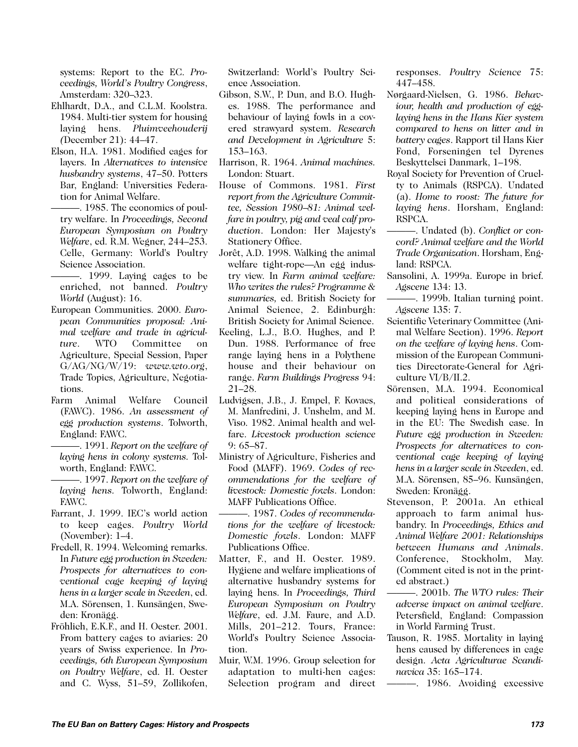systems: Report to the EC. *Proceedings, World's Poultry Congress*, Amsterdam: 320–323.

- Ehlhardt, D.A., and C.L.M. Koolstra. 1984. Multi-tier system for housing laying hens. *Pluimveehouderij (*December 21): 44–47.
- Elson, H.A. 1981. Modified cages for layers. In *Alternatives to intensive husbandry systems*, 47–50. Potters Bar, England: Universities Federation for Animal Welfare.
- ———. 1985. The economics of poultry welfare. In *Proceedings, Second European Symposium on Poultry Welfare*, ed. R.M. Wegner, 244–253. Celle, Germany: World's Poultry Science Association.
- ———. 1999. Laying cages to be enriched, not banned. *Poultry World* (August): 16.
- European Communities. 2000. *European Communities proposal: Animal welfare and trade in agriculture*. WTO Committee on Agriculture, Special Session, Paper G/AG/NG/W/19: *www.wto.org*, Trade Topics, Agriculture, Negotiations.
- Farm Animal Welfare Council (FAWC). 1986. *An assessment of egg production systems*. Tolworth, England: FAWC.
- ———. 1991. *Report on the welfare of laying hens in colony systems.* Tolworth, England: FAWC.
- ———. 1997. *Report on the welfare of laying hens.* Tolworth, England: FAWC.
- Farrant, J. 1999. IEC's world action to keep cages. *Poultry World* (November): 1–4.
- Fredell, R. 1994. Welcoming remarks. In *Future egg production in Sweden: Prospects for alternatives to conventional cage keeping of laying hens in a larger scale in Sweden*, ed. M.A. Sörensen, 1. Kunsängen, Sweden: Kronägg.
- Fröhlich, E.K.F., and H. Oester. 2001. From battery cages to aviaries: 20 years of Swiss experience. In *Proceedings, 6th European Symposium on Poultry Welfare*, ed. H. Oester and C. Wyss, 51–59, Zollikofen,

Switzerland: World's Poultry Science Association.

- Gibson, S.W., P. Dun, and B.O. Hughes. 1988. The performance and behaviour of laying fowls in a covered strawyard system. *Research and Development in Agriculture* 5: 153–163.
- Harrison, R. 1964. *Animal machines.* London: Stuart.
- House of Commons. 1981. *First report from the Agriculture Committee, Session 1980–81: Animal welfare in poultry, pig and veal calf production*. London: Her Majesty's Stationery Office.
- Jorêt, A.D. 1998. Walking the animal welfare tight-rope—An egg industry view. In *Farm animal welfare: Who writes the rules? Programme & summaries,* ed. British Society for Animal Science, 2. Edinburgh: British Society for Animal Science.
- Keeling, L.J., B.O. Hughes, and P. Dun. 1988. Performance of free range laying hens in a Polythene house and their behaviour on range. *Farm Buildings Progress* 94: 21–28.
- Ludvigsen, J.B., J. Empel, F. Kovacs, M. Manfredini, J. Unshelm, and M. Viso. 1982. Animal health and welfare. *Livestock production science* 9: 65–87.
- Ministry of Agriculture, Fisheries and Food (MAFF). 1969. *Codes of recommendations for the welfare of livestock: Domestic fowls*. London: MAFF Publications Office.
- ———. 1987. *Codes of recommendations for the welfare of livestock: Domestic fowls*. London: MAFF Publications Office.
- Matter, F., and H. Oester. 1989. Hygiene and welfare implications of alternative husbandry systems for laying hens. In *Proceedings, Third European Symposium on Poultry Welfare*, ed. J.M. Faure, and A.D. Mills, 201–212. Tours, France: World's Poultry Science Association.
- Muir, W.M. 1996. Group selection for adaptation to multi-hen cages: Selection program and direct

responses. *Poultry Science* 75: 447–458.

- Nørgaard-Nielsen, G. 1986. *Behaviour, health and production of egglaying hens in the Hans Kier system compared to hens on litter and in battery cages*. Rapport til Hans Kier Fond, Forseningen tel Dyrenes Beskyttelsei Danmark, 1–198.
- Royal Society for Prevention of Cruelty to Animals (RSPCA). Undated (a). *Home to roost: The future for laying hens*. Horsham, England: RSPCA.
- ———. Undated (b). *Conflict or concord? Animal welfare and the World Trade Organization*. Horsham, England: RSPCA.
- Sansolini, A. 1999a. Europe in brief. *Agscene* 134: 13.
- ———. 1999b. Italian turning point. *Agscene* 135: 7.
- Scientific Veterinary Committee (Animal Welfare Section). 1996. *Report on the welfare of laying hens*. Commission of the European Communities Directorate-General for Agriculture VI/B/II.2.
- Sörensen, M.A. 1994. Economical and political considerations of keeping laying hens in Europe and in the EU: The Swedish case. In *Future egg production in Sweden: Prospects for alternatives to conventional cage keeping of laying hens in a larger scale in Sweden*, ed. M.A. Sörensen, 85–96. Kunsängen, Sweden: Kronägg.
- Stevenson, P. 2001a. An ethical approach to farm animal husbandry. In *Proceedings, Ethics and Animal Welfare 2001: Relationships between Humans and Animals*. Conference, Stockholm, May. (Comment cited is not in the printed abstract.)
- ———. 2001b. *The WTO rules: Their adverse impact on animal welfare*. Petersfield, England: Compassion in World Farming Trust.
- Tauson, R. 1985. Mortality in laying hens caused by differences in cage design. *Acta Agriculturae Scandinavica* 35: 165–174.
- ———. 1986. Avoiding excessive